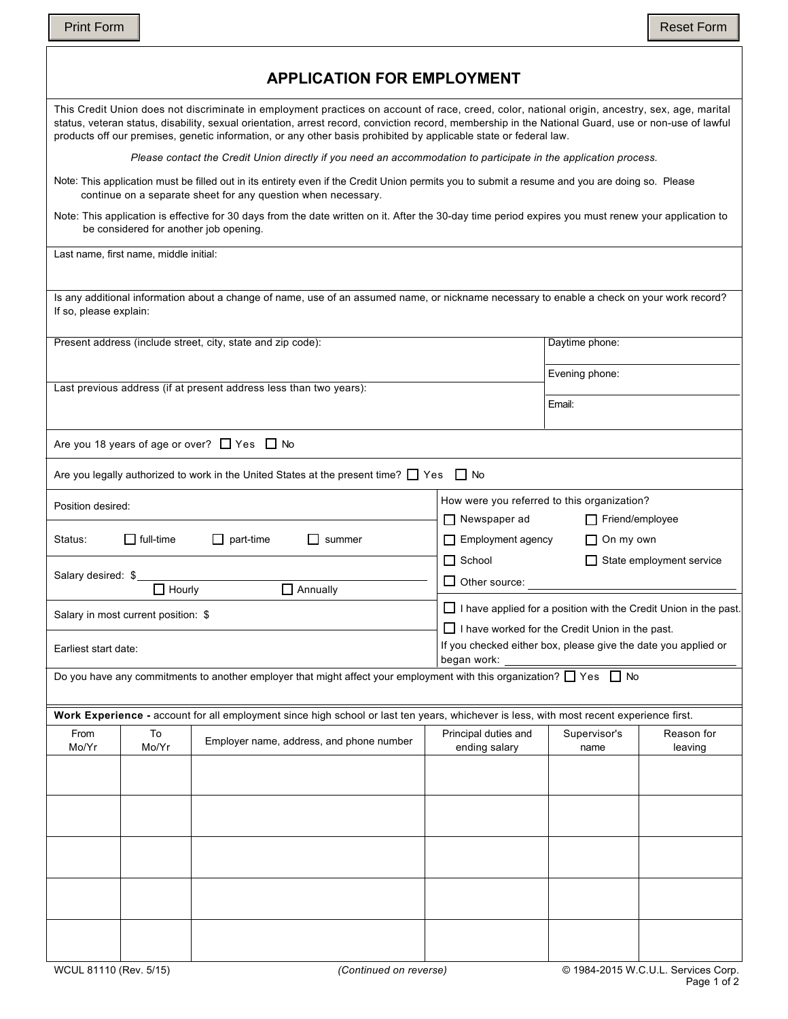f

|                        |                                        | <b>APPLICATION FOR EMPLOYMENT</b>                                                                                                                                                                                                                                                                                                                                                                                           |                                                                                                                                   |                                                                                              |                                 |  |
|------------------------|----------------------------------------|-----------------------------------------------------------------------------------------------------------------------------------------------------------------------------------------------------------------------------------------------------------------------------------------------------------------------------------------------------------------------------------------------------------------------------|-----------------------------------------------------------------------------------------------------------------------------------|----------------------------------------------------------------------------------------------|---------------------------------|--|
|                        |                                        | This Credit Union does not discriminate in employment practices on account of race, creed, color, national origin, ancestry, sex, age, marital<br>status, veteran status, disability, sexual orientation, arrest record, conviction record, membership in the National Guard, use or non-use of lawful<br>products off our premises, genetic information, or any other basis prohibited by applicable state or federal law. |                                                                                                                                   |                                                                                              |                                 |  |
|                        |                                        | Please contact the Credit Union directly if you need an accommodation to participate in the application process.                                                                                                                                                                                                                                                                                                            |                                                                                                                                   |                                                                                              |                                 |  |
|                        |                                        | Note: This application must be filled out in its entirety even if the Credit Union permits you to submit a resume and you are doing so. Please<br>continue on a separate sheet for any question when necessary.                                                                                                                                                                                                             |                                                                                                                                   |                                                                                              |                                 |  |
|                        |                                        | Note: This application is effective for 30 days from the date written on it. After the 30-day time period expires you must renew your application to<br>be considered for another job opening.                                                                                                                                                                                                                              |                                                                                                                                   |                                                                                              |                                 |  |
|                        | Last name, first name, middle initial: |                                                                                                                                                                                                                                                                                                                                                                                                                             |                                                                                                                                   |                                                                                              |                                 |  |
| If so, please explain: |                                        | Is any additional information about a change of name, use of an assumed name, or nickname necessary to enable a check on your work record?                                                                                                                                                                                                                                                                                  |                                                                                                                                   |                                                                                              |                                 |  |
|                        |                                        | Present address (include street, city, state and zip code):                                                                                                                                                                                                                                                                                                                                                                 |                                                                                                                                   | Daytime phone:                                                                               |                                 |  |
|                        |                                        | Last previous address (if at present address less than two years):                                                                                                                                                                                                                                                                                                                                                          |                                                                                                                                   | Evening phone:                                                                               |                                 |  |
|                        |                                        |                                                                                                                                                                                                                                                                                                                                                                                                                             |                                                                                                                                   | Email:                                                                                       |                                 |  |
|                        |                                        | Are you 18 years of age or over? $\Box$ Yes $\Box$ No                                                                                                                                                                                                                                                                                                                                                                       |                                                                                                                                   |                                                                                              |                                 |  |
|                        |                                        | Are you legally authorized to work in the United States at the present time? $\Box$ Yes                                                                                                                                                                                                                                                                                                                                     | $\Box$ No                                                                                                                         |                                                                                              |                                 |  |
|                        | Position desired:                      |                                                                                                                                                                                                                                                                                                                                                                                                                             |                                                                                                                                   | How were you referred to this organization?<br>$\Box$ Newspaper ad<br>$\Box$ Friend/employee |                                 |  |
| Status:                | $\Box$ full-time                       | $\Box$ part-time<br>$\Box$ summer                                                                                                                                                                                                                                                                                                                                                                                           | Employment agency<br>$\Box$ On my own                                                                                             |                                                                                              |                                 |  |
| Salary desired: \$     |                                        |                                                                                                                                                                                                                                                                                                                                                                                                                             | $\Box$ School                                                                                                                     |                                                                                              | $\Box$ State employment service |  |
|                        | $\Box$ Hourly                          | $\Box$ Annually                                                                                                                                                                                                                                                                                                                                                                                                             | $\Box$ Other source:                                                                                                              |                                                                                              |                                 |  |
|                        | Salary in most current position: \$    |                                                                                                                                                                                                                                                                                                                                                                                                                             | $\Box$ I have applied for a position with the Credit Union in the past.<br>$\Box$ I have worked for the Credit Union in the past. |                                                                                              |                                 |  |
| Earliest start date:   |                                        |                                                                                                                                                                                                                                                                                                                                                                                                                             | If you checked either box, please give the date you applied or<br>began work:                                                     |                                                                                              |                                 |  |
|                        |                                        | Do you have any commitments to another employer that might affect your employment with this organization? $\Box$ Yes $\Box$ No                                                                                                                                                                                                                                                                                              |                                                                                                                                   |                                                                                              |                                 |  |
|                        |                                        | Work Experience - account for all employment since high school or last ten years, whichever is less, with most recent experience first.                                                                                                                                                                                                                                                                                     |                                                                                                                                   |                                                                                              |                                 |  |
| From<br>Mo/Yr          | To<br>Mo/Yr                            | Employer name, address, and phone number                                                                                                                                                                                                                                                                                                                                                                                    | Principal duties and<br>ending salary                                                                                             | Supervisor's<br>name                                                                         | Reason for<br>leaving           |  |
|                        |                                        |                                                                                                                                                                                                                                                                                                                                                                                                                             |                                                                                                                                   |                                                                                              |                                 |  |
|                        |                                        |                                                                                                                                                                                                                                                                                                                                                                                                                             |                                                                                                                                   |                                                                                              |                                 |  |
|                        |                                        |                                                                                                                                                                                                                                                                                                                                                                                                                             |                                                                                                                                   |                                                                                              |                                 |  |
|                        |                                        |                                                                                                                                                                                                                                                                                                                                                                                                                             |                                                                                                                                   |                                                                                              |                                 |  |
|                        |                                        |                                                                                                                                                                                                                                                                                                                                                                                                                             |                                                                                                                                   |                                                                                              |                                 |  |
|                        |                                        |                                                                                                                                                                                                                                                                                                                                                                                                                             |                                                                                                                                   |                                                                                              |                                 |  |